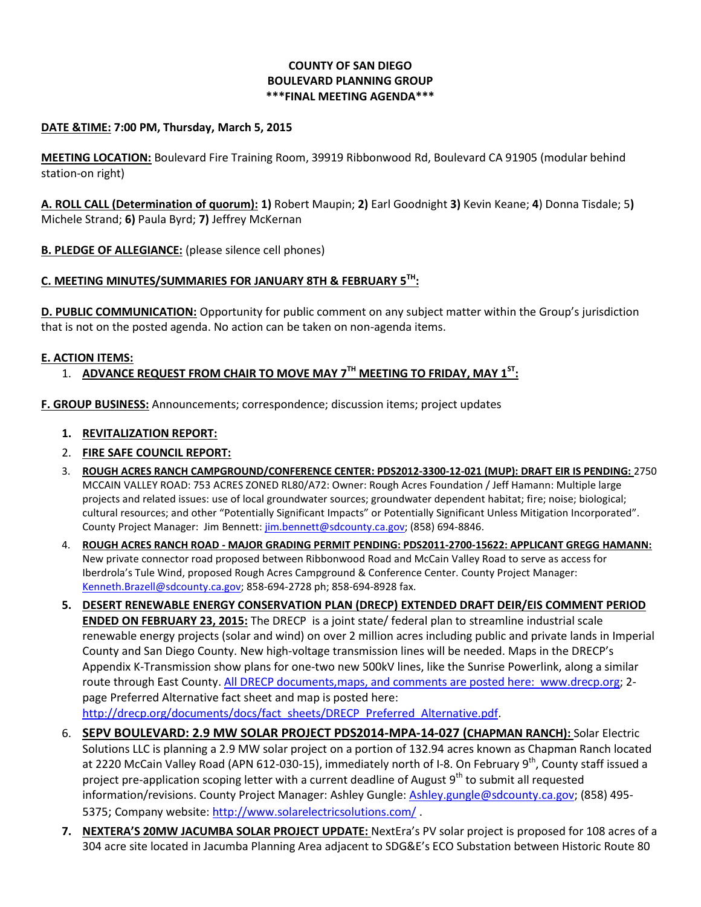### **COUNTY OF SAN DIEGO BOULEVARD PLANNING GROUP \*\*\*FINAL MEETING AGENDA\*\*\***

#### **DATE &TIME: 7:00 PM, Thursday, March 5, 2015**

**MEETING LOCATION:** Boulevard Fire Training Room, 39919 Ribbonwood Rd, Boulevard CA 91905 (modular behind station-on right)

**A. ROLL CALL (Determination of quorum): 1)** Robert Maupin; **2)** Earl Goodnight **3)** Kevin Keane; **4**) Donna Tisdale; 5**)**  Michele Strand; **6)** Paula Byrd; **7)** Jeffrey McKernan

**B. PLEDGE OF ALLEGIANCE:** (please silence cell phones)

# **C. MEETING MINUTES/SUMMARIES FOR JANUARY 8TH & FEBRUARY 5TH:**

**D. PUBLIC COMMUNICATION:** Opportunity for public comment on any subject matter within the Group's jurisdiction that is not on the posted agenda. No action can be taken on non-agenda items.

#### **E. ACTION ITEMS:**

# 1. **ADVANCE REQUEST FROM CHAIR TO MOVE MAY 7TH MEETING TO FRIDAY, MAY 1ST:**

**F. GROUP BUSINESS:** Announcements; correspondence; discussion items; project updates

#### **1. REVITALIZATION REPORT:**

- 2. **FIRE SAFE COUNCIL REPORT:**
- 3. **ROUGH ACRES RANCH CAMPGROUND/CONFERENCE CENTER: PDS2012-3300-12-021 (MUP): DRAFT EIR IS PENDING:** 2750 MCCAIN VALLEY ROAD: 753 ACRES ZONED RL80/A72: Owner: Rough Acres Foundation / Jeff Hamann: Multiple large projects and related issues: use of local groundwater sources; groundwater dependent habitat; fire; noise; biological; cultural resources; and other "Potentially Significant Impacts" or Potentially Significant Unless Mitigation Incorporated". County Project Manager: Jim Bennett: [jim.bennett@sdcounty.ca.gov;](mailto:jim.bennett@sdcounty.ca.gov) (858) 694-8846.
- 4. **ROUGH ACRES RANCH ROAD - MAJOR GRADING PERMIT PENDING: PDS2011-2700-15622: APPLICANT GREGG HAMANN:**  New private connector road proposed between Ribbonwood Road and McCain Valley Road to serve as access for Iberdrola's Tule Wind, proposed Rough Acres Campground & Conference Center. County Project Manager: [Kenneth.Brazell@sdcounty.ca.gov;](mailto:Kenneth.Brazell@sdcounty.ca.gov) 858-694-2728 ph; 858-694-8928 fax.
- **5. DESERT RENEWABLE ENERGY CONSERVATION PLAN (DRECP) EXTENDED DRAFT DEIR/EIS COMMENT PERIOD ENDED ON FEBRUARY 23, 2015:** The DRECP is a joint state/ federal plan to streamline industrial scale renewable energy projects (solar and wind) on over 2 million acres including public and private lands in Imperial County and San Diego County. New high-voltage transmission lines will be needed. Maps in the DRECP's Appendix K-Transmission show plans for one-two new 500kV lines, like the Sunrise Powerlink, along a similar route through East County. All DRECP documents,maps, and comments are posted here: www.drecp.org; 2 page Preferred Alternative fact sheet and map is posted here: [http://drecp.org/documents/docs/fact\\_sheets/DRECP\\_Preferred\\_Alternative.pdf.](http://drecp.org/documents/docs/fact_sheets/DRECP_Preferred_Alternative.pdf)
- 6. **SEPV BOULEVARD: 2.9 MW SOLAR PROJECT PDS2014-MPA-14-027 (CHAPMAN RANCH):** Solar Electric Solutions LLC is planning a 2.9 MW solar project on a portion of 132.94 acres known as Chapman Ranch located at 2220 McCain Valley Road (APN 612-030-15), immediately north of I-8. On February 9<sup>th</sup>, County staff issued a project pre-application scoping letter with a current deadline of August  $9<sup>th</sup>$  to submit all requested information/revisions. County Project Manager: Ashley Gungle[: Ashley.gungle@sdcounty.ca.gov;](mailto:Ashley.gungle@sdcounty.ca.gov) (858) 495- 5375; Company website[: http://www.solarelectricsolutions.com/](http://www.solarelectricsolutions.com/) .
- **7. NEXTERA'S 20MW JACUMBA SOLAR PROJECT UPDATE:** NextEra's PV solar project is proposed for 108 acres of a 304 acre site located in Jacumba Planning Area adjacent to SDG&E's ECO Substation between Historic Route 80